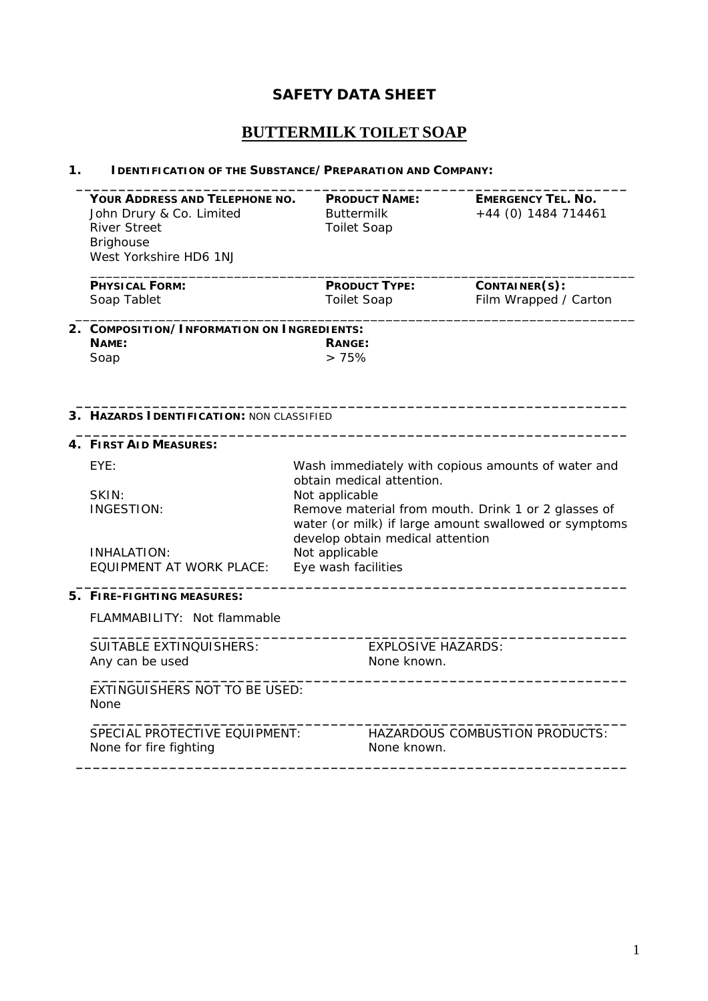## **SAFETY DATA SHEET**

# **BUTTERMILK TOILET SOAP**

### **1. IDENTIFICATION OF THE SUBSTANCE/PREPARATION AND COMPANY:**

| YOUR ADDRESS AND TELEPHONE NO.             |                                                                                                                                                                                                                                                                         | <b>PRODUCT NAME:</b>      | <b>EMERGENCY TEL. NO.</b>      |  |  |  |
|--------------------------------------------|-------------------------------------------------------------------------------------------------------------------------------------------------------------------------------------------------------------------------------------------------------------------------|---------------------------|--------------------------------|--|--|--|
| John Drury & Co. Limited                   | <b>Buttermilk</b>                                                                                                                                                                                                                                                       |                           | +44 (0) 1484 714461            |  |  |  |
| <b>River Street</b>                        | <b>Toilet Soap</b>                                                                                                                                                                                                                                                      |                           |                                |  |  |  |
| <b>Brighouse</b>                           |                                                                                                                                                                                                                                                                         |                           |                                |  |  |  |
| West Yorkshire HD6 1NJ                     |                                                                                                                                                                                                                                                                         |                           |                                |  |  |  |
| <b>PHYSICAL FORM:</b>                      |                                                                                                                                                                                                                                                                         | <b>PRODUCT TYPE:</b>      | CONTAINER(S):                  |  |  |  |
| Soap Tablet                                | <b>Toilet Soap</b>                                                                                                                                                                                                                                                      |                           | Film Wrapped / Carton          |  |  |  |
| 2. COMPOSITION/INFORMATION ON INGREDIENTS: |                                                                                                                                                                                                                                                                         |                           |                                |  |  |  |
| NAME:                                      | RANGE:                                                                                                                                                                                                                                                                  |                           |                                |  |  |  |
| Soap                                       | >75%                                                                                                                                                                                                                                                                    |                           |                                |  |  |  |
|                                            |                                                                                                                                                                                                                                                                         |                           |                                |  |  |  |
|                                            |                                                                                                                                                                                                                                                                         |                           |                                |  |  |  |
| 3. HAZARDS IDENTIFICATION: NON CLASSIFIED  |                                                                                                                                                                                                                                                                         |                           |                                |  |  |  |
| 4. FIRST AID MEASURES:                     |                                                                                                                                                                                                                                                                         |                           |                                |  |  |  |
| EYE:                                       | Wash immediately with copious amounts of water and<br>obtain medical attention.<br>Not applicable<br>Remove material from mouth. Drink 1 or 2 glasses of<br>water (or milk) if large amount swallowed or symptoms<br>develop obtain medical attention<br>Not applicable |                           |                                |  |  |  |
|                                            |                                                                                                                                                                                                                                                                         |                           |                                |  |  |  |
| SKIN:                                      |                                                                                                                                                                                                                                                                         |                           |                                |  |  |  |
| <b>INGESTION:</b>                          |                                                                                                                                                                                                                                                                         |                           |                                |  |  |  |
|                                            |                                                                                                                                                                                                                                                                         |                           |                                |  |  |  |
| INHALATION:                                |                                                                                                                                                                                                                                                                         |                           |                                |  |  |  |
| <b>EQUIPMENT AT WORK PLACE:</b>            | Eye wash facilities                                                                                                                                                                                                                                                     |                           |                                |  |  |  |
|                                            |                                                                                                                                                                                                                                                                         |                           |                                |  |  |  |
| 5. FIRE-FIGHTING MEASURES:                 |                                                                                                                                                                                                                                                                         |                           |                                |  |  |  |
| FLAMMABILITY: Not flammable                |                                                                                                                                                                                                                                                                         |                           |                                |  |  |  |
| SUITABLE EXTINOUISHERS:                    |                                                                                                                                                                                                                                                                         | <b>EXPLOSIVE HAZARDS:</b> |                                |  |  |  |
| Any can be used                            |                                                                                                                                                                                                                                                                         | None known.               |                                |  |  |  |
| EXTINGUISHERS NOT TO BE USED:              |                                                                                                                                                                                                                                                                         |                           |                                |  |  |  |
| None                                       |                                                                                                                                                                                                                                                                         |                           |                                |  |  |  |
| SPECIAL PROTECTIVE EQUIPMENT:              |                                                                                                                                                                                                                                                                         |                           | HAZARDOUS COMBUSTION PRODUCTS: |  |  |  |
| None for fire fighting                     |                                                                                                                                                                                                                                                                         | None known.               |                                |  |  |  |
|                                            |                                                                                                                                                                                                                                                                         |                           |                                |  |  |  |